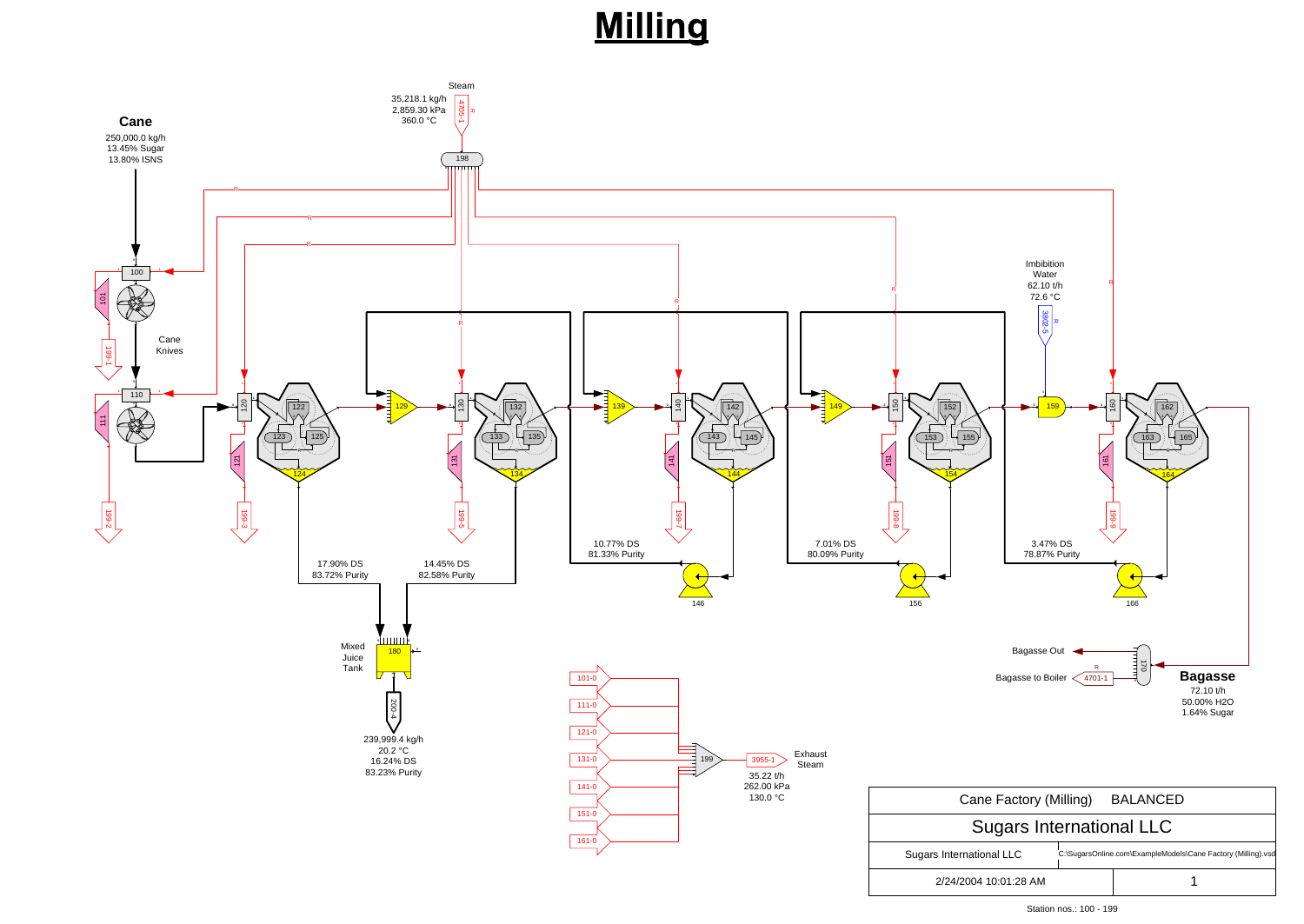### **Milling**



Station nos.: 100 - 199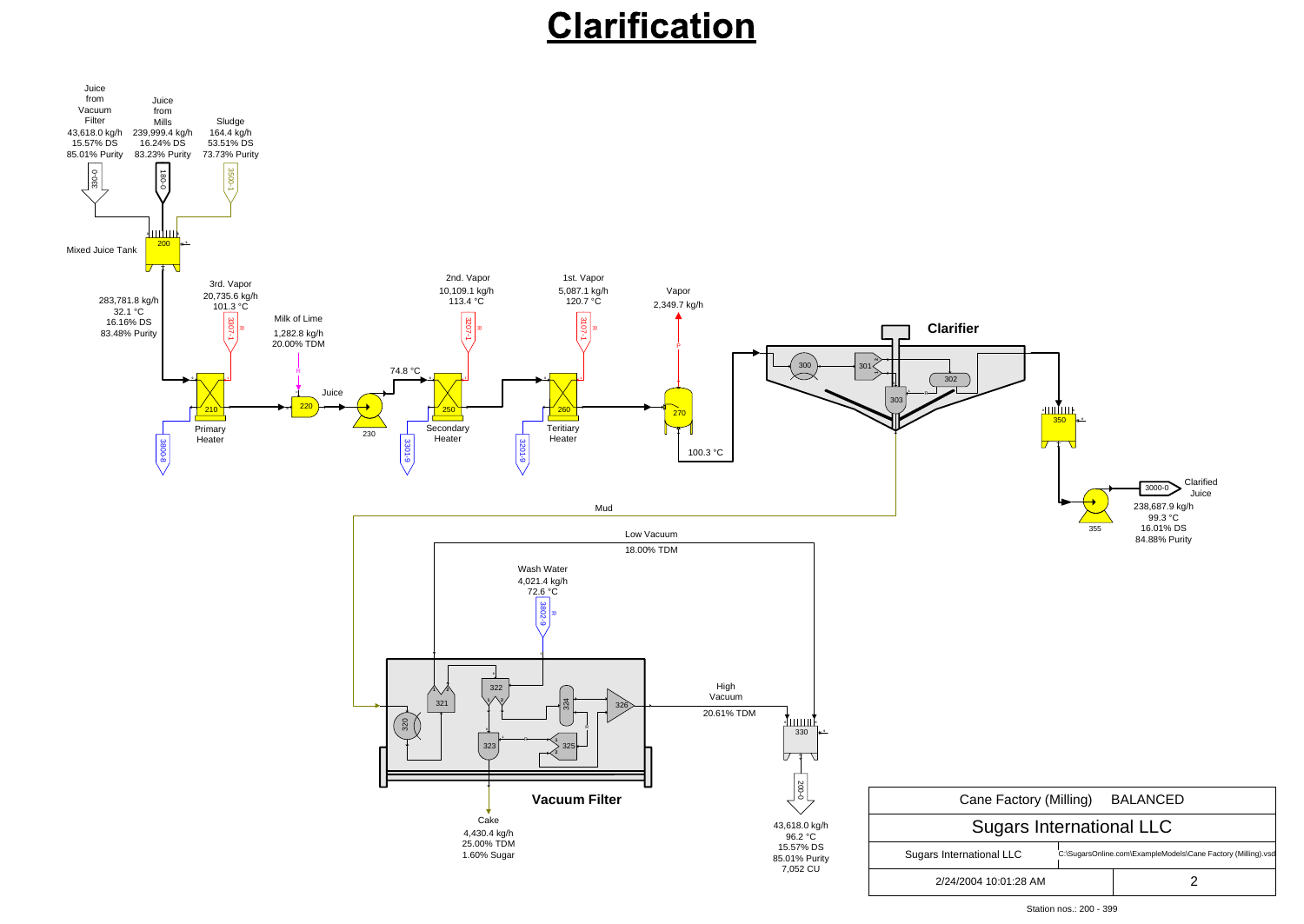## Clarification



Station nos.: 200 - 399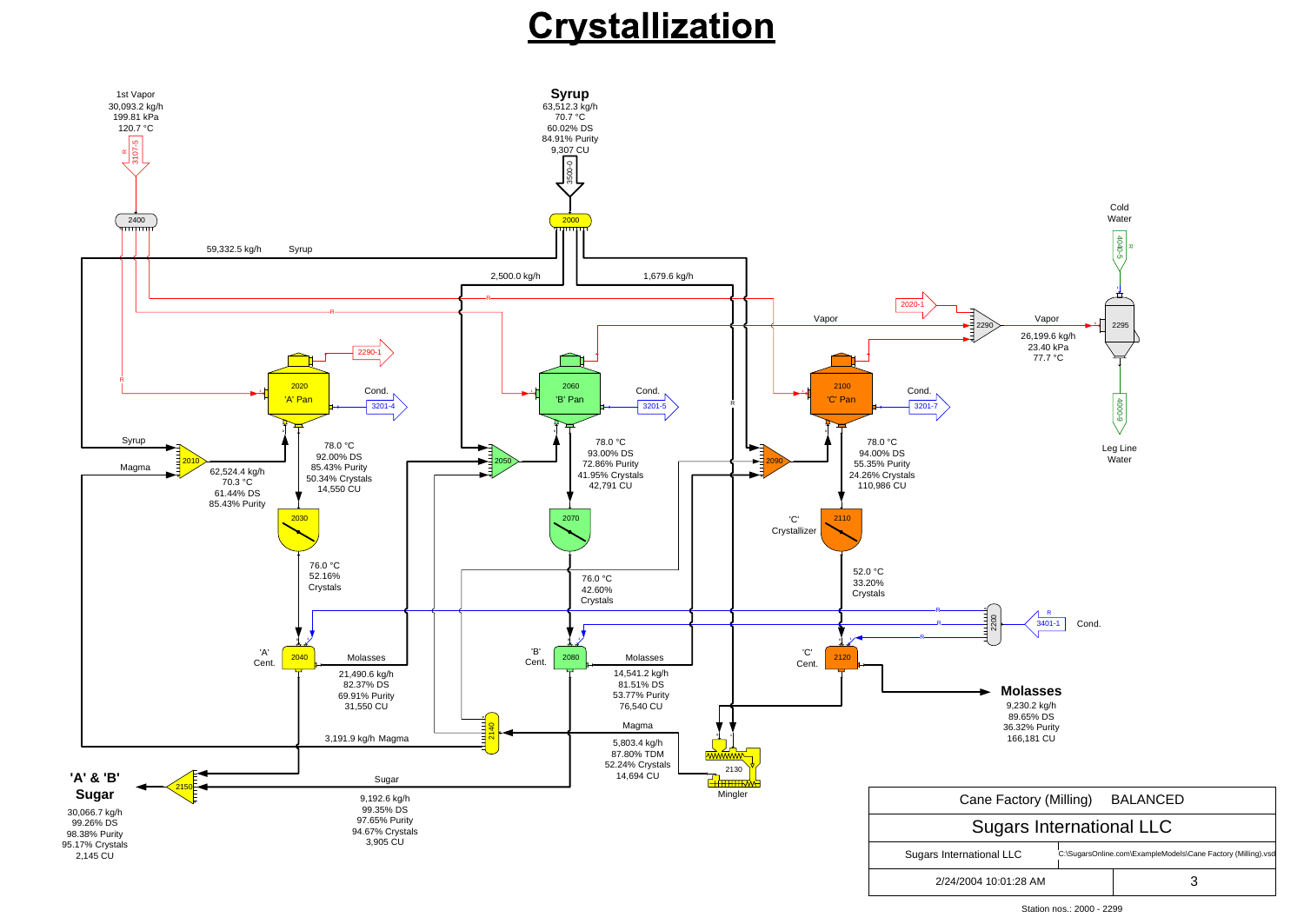### Crystallization



Station nos.: 2000 - 2299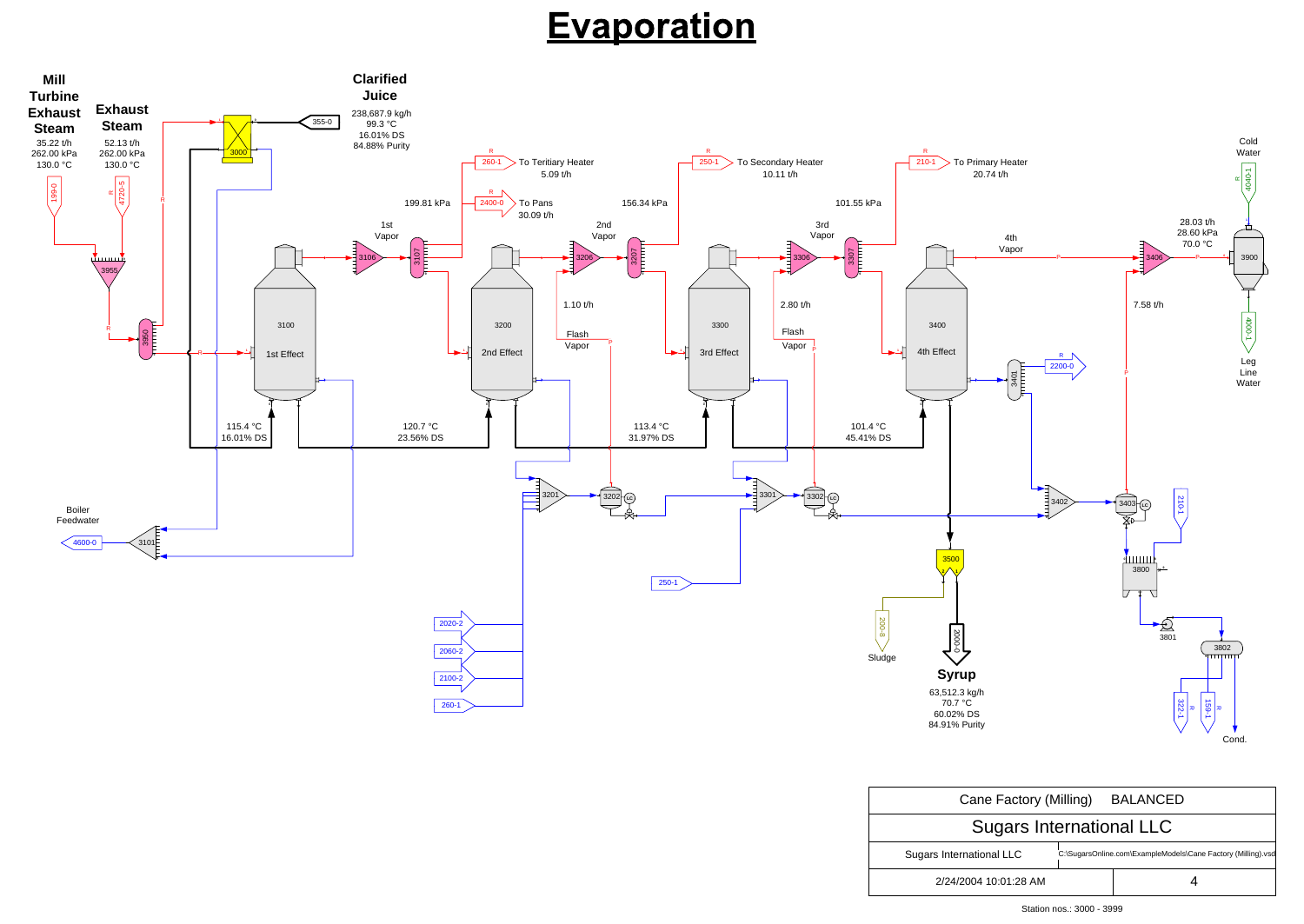| Cane Factory (Milling)          | <b>BALANCED</b>                                              |  |  |
|---------------------------------|--------------------------------------------------------------|--|--|
| <b>Sugars International LLC</b> |                                                              |  |  |
| Sugars International LLC        | C:\SugarsOnline.com\ExampleModels\Cane Factory (Milling).vsd |  |  |
| 2/24/2004 10:01:28 AM           |                                                              |  |  |

# **Evaporation**



Station nos.: 3000 - 3999